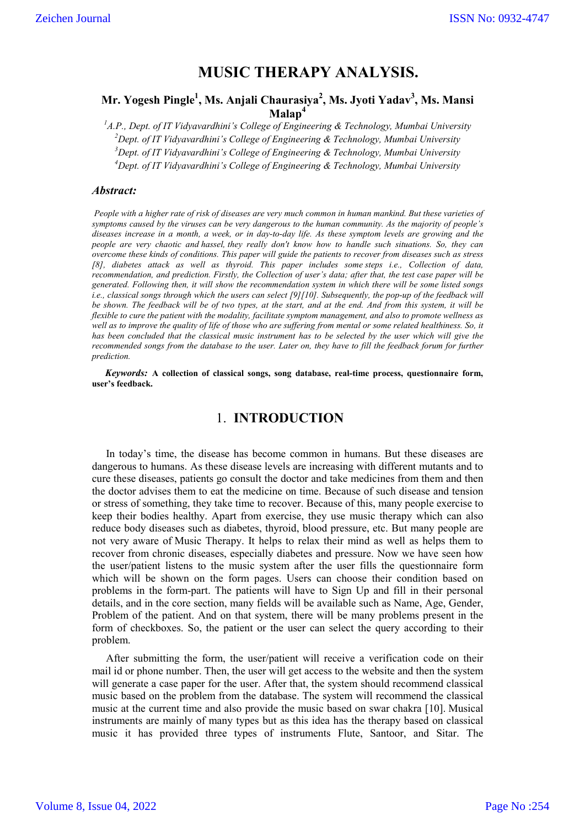# **MUSIC THERAPY ANALYSIS.**

## **Mr. Yogesh Pingle1 , Ms. Anjali Chaurasiya2 , Ms. Jyoti Yadav<sup>3</sup> , Ms. Mansi Malap<sup>4</sup>**

 *A.P., Dept. of IT Vidyavardhini's College of Engineering & Technology, Mumbai University Dept. of IT Vidyavardhini's College of Engineering & Technology, Mumbai University Dept. of IT Vidyavardhini's College of Engineering & Technology, Mumbai University Dept. of IT Vidyavardhini's College of Engineering & Technology, Mumbai University*

#### *Abstract:*

*People with a higher rate of risk of diseases are very much common in human mankind. But these varieties of symptoms caused by the viruses can be very dangerous to the human community. As the majority of people's diseases increase in a month, a week, or in day-to-day life. As these symptom levels are growing and the people are very chaotic and hassel, they really don't know how to handle such situations. So, they can overcome these kinds of conditions. This paper will guide the patients to recover from diseases such as stress [8], diabetes attack as well as thyroid. This paper includes some steps i.e., Collection of data, recommendation, and prediction. Firstly, the Collection of user's data; after that, the test case paper will be generated. Following then, it will show the recommendation system in which there will be some listed songs i.e., classical songs through which the users can select [9][10]. Subsequently, the pop-up of the feedback will be shown. The feedback will be of two types, at the start, and at the end. And from this system, it will be flexible to cure the patient with the modality, facilitate symptom management, and also to promote wellness as well as to improve the quality of life of those who are suffering from mental or some related healthiness. So, it has been concluded that the classical music instrument has to be selected by the user which will give the recommended songs from the database to the user. Later on, they have to fill the feedback forum for further prediction.*

*Keywords:* **A collection of classical songs, song database, real-time process, questionnaire form, user's feedback.**

# 1. **INTRODUCTION**

In today's time, the disease has become common in humans. But these diseases are dangerous to humans. As these disease levels are increasing with different mutants and to cure these diseases, patients go consult the doctor and take medicines from them and then the doctor advises them to eat the medicine on time. Because of such disease and tension or stress of something, they take time to recover. Because of this, many people exercise to keep their bodies healthy. Apart from exercise, they use music therapy which can also reduce body diseases such as diabetes, thyroid, blood pressure, etc. But many people are not very aware of Music Therapy. It helps to relax their mind as well as helps them to recover from chronic diseases, especially diabetes and pressure. Now we have seen how the user/patient listens to the music system after the user fills the questionnaire form which will be shown on the form pages. Users can choose their condition based on problems in the form-part. The patients will have to Sign Up and fill in their personal details, and in the core section, many fields will be available such as Name, Age, Gender, Problem of the patient. And on that system, there will be many problems present in the form of checkboxes. So, the patient or the user can select the query according to their problem.

After submitting the form, the user/patient will receive a verification code on their mail id or phone number. Then, the user will get access to the website and then the system will generate a case paper for the user. After that, the system should recommend classical music based on the problem from the database. The system will recommend the classical music at the current time and also provide the music based on swar chakra [10]. Musical instruments are mainly of many types but as this idea has the therapy based on classical music it has provided three types of instruments Flute, Santoor, and Sitar. The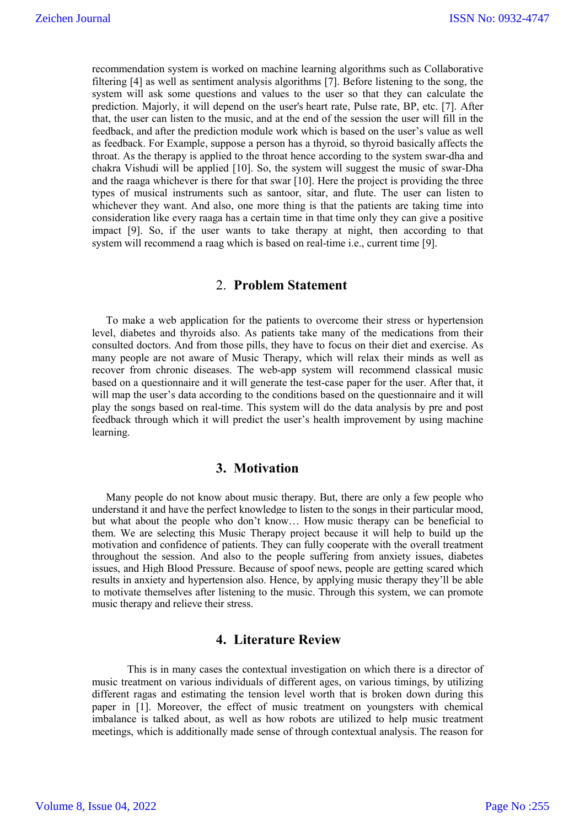recommendation system is worked on machine learning algorithms such as Collaborative filtering [4] as well as sentiment analysis algorithms [7]. Before listening to the song, the system will ask some questions and values to the user so that they can calculate the prediction. Majorly, it will depend on the user's heart rate, Pulse rate, BP, etc. [7]. After that, the user can listen to the music, and at the end of the session the user will fill in the feedback, and after the prediction module work which is based on the user's value as well as feedback. For Example, suppose a person has a thyroid, so thyroid basically affects the throat. As the therapy is applied to the throat hence according to the system swar-dha and chakra Vishudi will be applied [10]. So, the system will suggest the music of swar-Dha and the raaga whichever is there for that swar [10]. Here the project is providing the three types of musical instruments such as santoor, sitar, and flute. The user can listen to whichever they want. And also, one more thing is that the patients are taking time into consideration like every raaga has a certain time in that time only they can give a positive impact [9]. So, if the user wants to take therapy at night, then according to that system will recommend a raag which is based on real-time i.e., current time [9].

## 2. **Problem Statement**

To make a web application for the patients to overcome their stress or hypertension level, diabetes and thyroids also. As patients take many of the medications from their consulted doctors. And from those pills, they have to focus on their diet and exercise. As many people are not aware of Music Therapy, which will relax their minds as well as recover from chronic diseases. The web-app system will recommend classical music based on a questionnaire and it will generate the test-case paper for the user. After that, it will map the user's data according to the conditions based on the questionnaire and it will play the songs based on real-time. This system will do the data analysis by pre and post feedback through which it will predict the user's health improvement by using machine learning.

### **3. Motivation**

Many people do not know about music therapy. But, there are only a few people who understand it and have the perfect knowledge to listen to the songs in their particular mood, but what about the people who don't know… How music therapy can be beneficial to them. We are selecting this Music Therapy project because it will help to build up the motivation and confidence of patients. They can fully cooperate with the overall treatment throughout the session. And also to the people suffering from anxiety issues, diabetes issues, and High Blood Pressure. Because of spoof news, people are getting scared which results in anxiety and hypertension also. Hence, by applying music therapy they'll be able to motivate themselves after listening to the music. Through this system, we can promote music therapy and relieve their stress.

## **4. Literature Review**

This is in many cases the contextual investigation on which there is a director of music treatment on various individuals of different ages, on various timings, by utilizing different ragas and estimating the tension level worth that is broken down during this paper in [1]. Moreover, the effect of music treatment on youngsters with chemical imbalance is talked about, as well as how robots are utilized to help music treatment meetings, which is additionally made sense of through contextual analysis. The reason for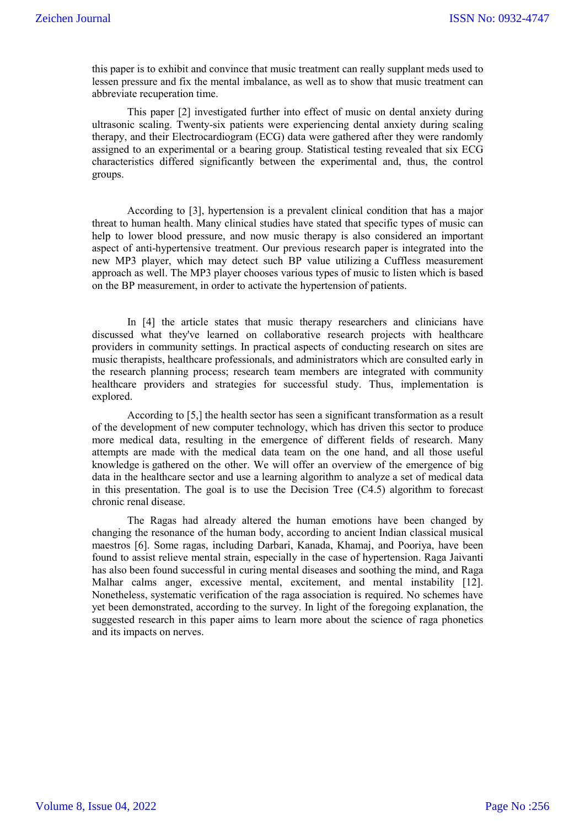this paper is to exhibit and convince that music treatment can really supplant meds used to lessen pressure and fix the mental imbalance, as well as to show that music treatment can abbreviate recuperation time.

This paper [2] investigated further into effect of music on dental anxiety during ultrasonic scaling. Twenty-six patients were experiencing dental anxiety during scaling therapy, and their Electrocardiogram (ECG) data were gathered after they were randomly assigned to an experimental or a bearing group. Statistical testing revealed that six ECG characteristics differed significantly between the experimental and, thus, the control groups.

According to [3], hypertension is a prevalent clinical condition that has a major threat to human health. Many clinical studies have stated that specific types of music can help to lower blood pressure, and now music therapy is also considered an important aspect of anti-hypertensive treatment. Our previous research paper is integrated into the new MP3 player, which may detect such BP value utilizing a Cuffless measurement approach as well. The MP3 player chooses various types of music to listen which is based on the BP measurement, in order to activate the hypertension of patients.

In [4] the article states that music therapy researchers and clinicians have discussed what they've learned on collaborative research projects with healthcare providers in community settings. In practical aspects of conducting research on sites are music therapists, healthcare professionals, and administrators which are consulted early in the research planning process; research team members are integrated with community healthcare providers and strategies for successful study. Thus, implementation is explored.

According to [5,] the health sector has seen a significant transformation as a result of the development of new computer technology, which has driven this sector to produce more medical data, resulting in the emergence of different fields of research. Many attempts are made with the medical data team on the one hand, and all those useful knowledge is gathered on the other. We will offer an overview of the emergence of big data in the healthcare sector and use a learning algorithm to analyze a set of medical data in this presentation. The goal is to use the Decision Tree  $(C4.5)$  algorithm to forecast chronic renal disease.

The Ragas had already altered the human emotions have been changed by changing the resonance of the human body, according to ancient Indian classical musical maestros [6]. Some ragas, including Darbari, Kanada, Khamaj, and Pooriya, have been found to assist relieve mental strain, especially in the case of hypertension. Raga Jaivanti has also been found successful in curing mental diseases and soothing the mind, and Raga Malhar calms anger, excessive mental, excitement, and mental instability [12]. Nonetheless, systematic verification of the raga association is required. No schemes have yet been demonstrated, according to the survey. In light of the foregoing explanation, the suggested research in this paper aims to learn more about the science of raga phonetics and its impacts on nerves.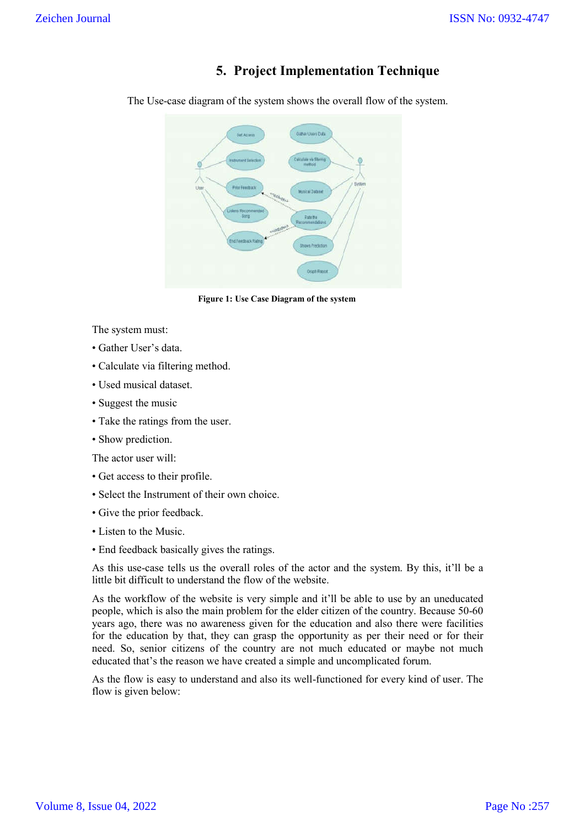# **5. Project Implementation Technique**

The Use-case diagram of the system shows the overall flow of the system.



**Figure 1: Use Case Diagram of the system**

The system must:

- Gather User's data.
- Calculate via filtering method.
- Used musical dataset.
- Suggest the music
- Take the ratings from the user.
- Show prediction.

The actor user will:

- Get access to their profile.
- Select the Instrument of their own choice.
- Give the prior feedback.
- Listen to the Music.
- End feedback basically gives the ratings.

As this use-case tells us the overall roles of the actor and the system. By this, it'll be a little bit difficult to understand the flow of the website.

As the workflow of the website is very simple and it'll be able to use by an uneducated people, which is also the main problem for the elder citizen of the country. Because 50-60 years ago, there was no awareness given for the education and also there were facilities for the education by that, they can grasp the opportunity as per their need or for their need. So, senior citizens of the country are not much educated or maybe not much educated that's the reason we have created a simple and uncomplicated forum.

As the flow is easy to understand and also its well-functioned for every kind of user. The flow is given below: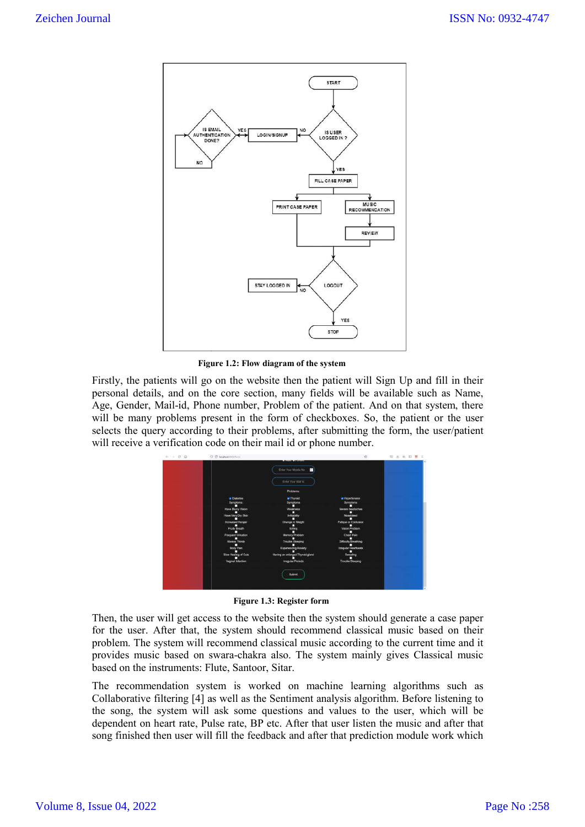

**Figure 1.2: Flow diagram of the system**

Firstly, the patients will go on the website then the patient will Sign Up and fill in their personal details, and on the core section, many fields will be available such as Name, Age, Gender, Mail-id, Phone number, Problem of the patient. And on that system, there Firstly, the patients will go on the website then the patient will Sign Up and fill in their personal details, and on the core section, many fields will be available such as Name, Age, Gender, Mail-id, Phone number, Proble selects the query according to their problems, after submitting the form, the user/patient will receive a verification code on their mail id or phone number.

| $\leftarrow  \circ$ $\circ$ | C C location times                               | Enter Your Mobile No                                                        |                                             | 太 地 四 里 |  |
|-----------------------------|--------------------------------------------------|-----------------------------------------------------------------------------|---------------------------------------------|---------|--|
|                             |                                                  | Enter Your Mail to                                                          |                                             |         |  |
|                             | <b>R</b> Diabeter                                | Problems<br><b>P</b> Thyroid                                                | <b>2</b> Hyperformion                       |         |  |
|                             | ve Blumy Vision                                  |                                                                             |                                             |         |  |
|                             | Hawe Very Dry Skin                               |                                                                             |                                             |         |  |
|                             | ncreased Hunge                                   | Change in Weight                                                            | <b>Fatigue or Confusion</b>                 |         |  |
|                             | Fouty Breath<br><b>TRICUMPE Elricollign</b>      | <b>Behing</b><br>Memory Problem                                             | Vision Problem<br>Chest Pain                |         |  |
|                             | Uways Thirsty                                    |                                                                             | <b>Difficulty Breathing</b>                 |         |  |
|                             | <b>Body Pain</b>                                 | Expensencing Aragen                                                         | requier Hearthe                             |         |  |
|                             | Slow Healing of Cuts<br><b>Vaginal Intection</b> | Having an enlarged Thyroid gland                                            | <b>Quanatine</b><br><b>Trouble Sleeping</b> |         |  |
|                             |                                                  | Imagular Periods                                                            |                                             |         |  |
|                             |                                                  | Submit                                                                      |                                             |         |  |
|                             |                                                  |                                                                             |                                             |         |  |
|                             |                                                  |                                                                             |                                             |         |  |
|                             |                                                  | Figure 1.3: Register form                                                   |                                             |         |  |
|                             |                                                  |                                                                             |                                             |         |  |
|                             |                                                  | will get access to the website then the system should generate a case paper |                                             |         |  |

**Figure 1.3: Register form**

Then, the user will get access to the website then the system should generate a case paper for the user. After that, the system should recommend classical music based on their problem. The system will recommend classical music according to the current time and it provides music based on swara-chakra also. The system mainly gives Classical music based on the instruments: Flute, Santoor, Sitar.

The recommendation system is worked on machine learning algorithms such as Collaborative filtering [4] as well as the Sentiment analysis algorithm. Before listening to the song, the system will ask some questions and values to the user, which will be dependent on heart rate, Pulse rate, BP etc. After that user listen the music and after that song finished then user will fill the feedback and after that prediction module work which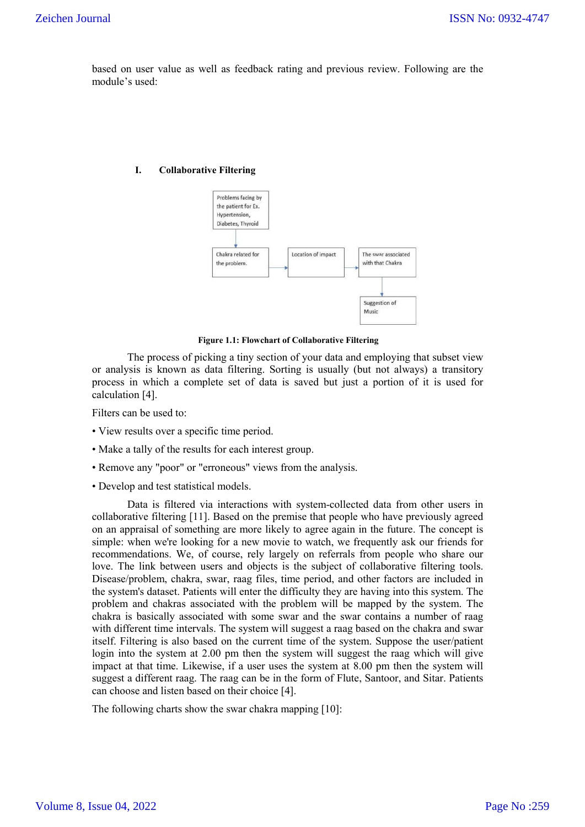based on user value as well as feedback rating and previous review. Following are the module's used:

#### **I. Collaborative Filtering**



**Figure 1.1: Flowchart of Collaborative Filtering**

The process of picking a tiny section of your data and employing that subset view or analysis is known as data filtering. Sorting is usually (but not always) a transitory process in which a complete set of data is saved but just a portion of it is used for calculation [4].

Filters can be used to:

- View results over a specific time period.
- Make a tally of the results for each interest group.
- Remove any "poor" or "erroneous" views from the analysis.
- Develop and test statistical models.

Data is filtered via interactions with system-collected data from other users in collaborative filtering [11]. Based on the premise that people who have previously agreed on an appraisal of something are more likely to agree again in the future. The concept is simple: when we're looking for a new movie to watch, we frequently ask our friends for recommendations. We, of course, rely largely on referrals from people who share our love. The link between users and objects is the subject of collaborative filtering tools. Disease/problem, chakra, swar, raag files, time period, and other factors are included in the system's dataset. Patients will enter the difficulty they are having into this system. The problem and chakras associated with the problem will be mapped by the system. The chakra is basically associated with some swar and the swar contains a number of raag with different time intervals. The system will suggest a raag based on the chakra and swar itself. Filtering is also based on the current time of the system. Suppose the user/patient login into the system at 2.00 pm then the system will suggest the raag which will give impact at that time. Likewise, if a user uses the system at 8.00 pm then the system will suggest a different raag. The raag can be in the form of Flute, Santoor, and Sitar. Patients can choose and listen based on their choice [4].

The following charts show the swar chakra mapping [10]: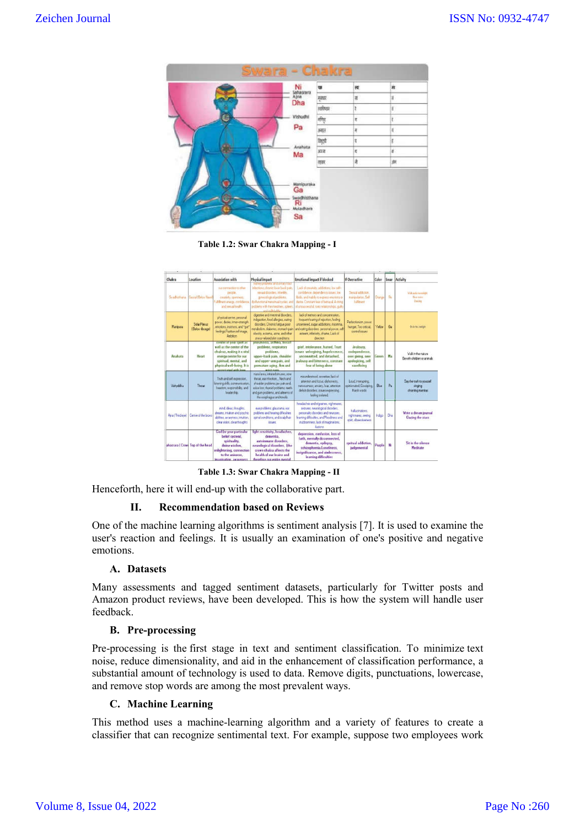

**Table 1.2: Swar Chakra Mapping - I** 

| ٠               | ٠                                      |                                                                                                                                                                                              |                                                                                                                                                                                                                                    | $\sim$                                                                                                                                                                                                                      |                                                                                     | $\sim$ |                |                                                         |
|-----------------|----------------------------------------|----------------------------------------------------------------------------------------------------------------------------------------------------------------------------------------------|------------------------------------------------------------------------------------------------------------------------------------------------------------------------------------------------------------------------------------|-----------------------------------------------------------------------------------------------------------------------------------------------------------------------------------------------------------------------------|-------------------------------------------------------------------------------------|--------|----------------|---------------------------------------------------------|
| Chakra          | Location                               | <b>Association with</b>                                                                                                                                                                      | <b>Physical impact</b><br><b>ISSUE DISCRIPTION AND LEVELAND TO ACT</b>                                                                                                                                                             | <b>Emotional impact if blocked</b>                                                                                                                                                                                          | <b>If Overactive</b>                                                                | Color  | Swar           | Activity                                                |
| Svadunhana      | <b>Eacial Follow Nauel</b>             | our connection to other<br>people.<br>creatidly operates.<br>and passail health.                                                                                                             | infections, chronic lover back pain.<br>sanzal deceders, Véarilles.<br>genecelogical problems.<br>Fulfilment energy, confidence. High instance menstrual cucles, and<br>problems with the intestines, spleen<br>نمائك فاللومة المس | Lack of creatists, addictions, low sell-<br>cordiderice, dependency issues, low<br>libido, and inable to engress emotions or<br>destre. Constant lear of betrayal, A string<br>of unsuccessful, toxic relationships, guilty | Sensal addition.<br>nangidaton Sell<br>hallmart                                     | Dunge  | Re             | Villa under mountaint<br>Now works.<br>Dusling          |
| Manipusa        | <b>Solar Plenus</b><br>(Below ribcage) | physical center, personal<br>pouer, desire, inner-strength<br>emotions, instincts, and "gut"<br>feelings Positive self image.<br>Architen.                                                   | doestive and intestinal disorders.<br>indigestion, food allergies, earing<br>dirorders. Chronic fatious poor<br>netabolism, diabetes, stomach pain<br>obesity, eczema, acrye, and other<br>stress-related skin conditions.         | lack of memory and concentration.<br>hequent fearing of relection, feeling<br>uncentered, sugar addictions, insomnia<br>and earing disorders, personal power, self<br>esteem, inferiority, shame, Lack of<br>drection       | Perfectionism, power<br>hunger. Too critical<br>control issues                      | Yelow  | G <sub>2</sub> | Be in the realight                                      |
| Anahata         | Heart                                  | center of your spirit as<br>well as the center of the<br>ohakras, making it a vital<br>energy center for our<br>spiritual, mental, and<br>physical well-being. It is<br>accortated with loss | preumonia, asthiba, breast<br>problems, respiratory<br>problems.<br>upper-back pain, shoulder<br>and upper-arm pain, and<br>premature aging, Arm and<br>wright reader                                                              | grief, intolerance, hatred, Trust.<br>issues unforgiving, hopelessness,<br>uncommitted, and detached.<br>jealousy and bitterness, constant<br>fear of being alone                                                           | Joalousy.<br>codependence.<br>over giving, over<br>apologizing, self<br>sacrificing | Green  | Ma             | Vali in the nature<br>Be vith children or animals.      |
| Vishuddha       | Throat                                 | Truth and self-expression.<br>listening skills, communication,<br>freedom, responsibility, and<br>leadership.                                                                                | natal area, initated situates, sore<br>throat, ear infection, Nech and<br>shoulder problems jaw pain and,<br>usion loss, thoroid problems, teeth-<br>and gurs problems, and alments of<br>the escohagus and tonsils.               | misunderstood, secretive, lack of<br>attention and focus, dishonests.<br>netyousness, anviety, fear, attention<br>delick disorders, issues engressing.<br>feeling isolated.                                                 | Loud.interupting<br>opinionated, Gossiping.<br>Harsh words                          | Blue   | P <sub>a</sub> | Say the truth to source!<br>singing<br>chanting mantras |
| Anal Third evel | Center of the brows                    | mind, ideas, thoughts.<br>dreams, intuition and psychic<br>abilities, avanement, insultion,<br>clear vision, clear thoughts                                                                  | ese problems, glaucoma, ear.<br>problems and hearing difficulties<br>spinal conditions, and scalphair<br><b>IEBURE</b>                                                                                                             | headaches and nigraines, nightnares,<br>seizures, neurological disorders.<br>personalty disorders and neuroses.<br>learning difficulties, and Moodness and<br>stubbonness, lack of imaginations.<br>Autoru.                 | halucinations.<br>nightmares, seeing<br>spirt, obsessiveness                        | Indigo | Dia            | Write a dream journal<br><b>Gazing the stars</b>        |
|                 | ahasrara (Crow) Top of the head        | <b>God</b> for your particular<br>belief system).<br>spirituality.<br>divine visdom.<br>enlightening, connection<br>to the universe.<br>inadelstion, as somes.                               | light sensitivity, headaches,<br>dementia.<br>autoimmune disorders.<br>neurological disorders, (the<br>crown chakra affects the<br>health of our brains and<br>therefore our entire mental                                         | depression, confusion, loss of<br>faith, mentally disconnected,<br>demontia, epilepsy,<br>schizophrenia.Loneliness.<br>insignificance, and aimlessness,<br>learning difficulties                                            | spritual addiction.<br>judgemental                                                  | Purple | 71             | Sit in the silence<br>Meditate                          |

**Table 1.3: Swar Chakra Mapping - II**

Henceforth, here it will end-up with the collaborative part.

### **II. Recommendation based on Reviews**

One of the machine learning algorithms is sentiment analysis [7]. It is used to examine the user's reaction and feelings. It is usually an examination of one's positive and negative emotions.

### **A. Datasets**

Many assessments and tagged sentiment datasets, particularly for Twitter posts and Amazon product reviews, have been developed. This is how the system will handle user feedback.

### **B. Pre-processing**

Pre-processing is the first stage in text and sentiment classification. To minimize text noise, reduce dimensionality, and aid in the enhancement of classification performance, a substantial amount of technology is used to data. Remove digits, punctuations, lowercase, and remove stop words are among the most prevalent ways.

### **C. Machine Learning**

This method uses a machine-learning algorithm and a variety of features to create a classifier that can recognize sentimental text. For example, suppose two employees work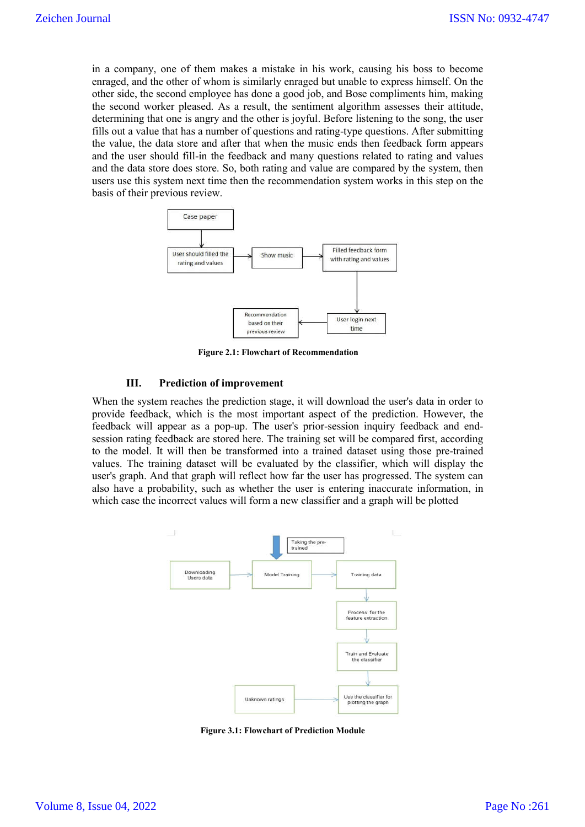in a company, one of them makes a mistake in his work, causing his boss to become enraged, and the other of whom is similarly enraged but unable to express himself. On the other side, the second employee has done a good job, and Bose compliments him, making the second worker pleased. As a result, the sentiment algorithm assesses their attitude, determining that one is angry and the other is joyful. Before listening to the song, the user fills out a value that has a number of questions and rating-type questions. After submitting the value, the data store and after that when the music ends then feedback form appears and the user should fill-in the feedback and many questions related to rating and values and the data store does store. So, both rating and value are compared by the system, then users use this system next time then the recommendation system works in this step on the basis of their previous review.



**Figure 2.1: Flowchart of Recommendation**

#### **III. Prediction of improvement**

When the system reaches the prediction stage, it will download the user's data in order to provide feedback, which is the most important aspect of the prediction. However, the feedback will appear as a pop-up. The user's prior-session inquiry feedback and endsession rating feedback are stored here. The training set will be compared first, according to the model. It will then be transformed into a trained dataset using those pre-trained values. The training dataset will be evaluated by the classifier, which will display the user's graph. And that graph will reflect how far the user has progressed. The system can also have a probability, such as whether the user is entering inaccurate information, in which case the incorrect values will form a new classifier and a graph will be plotted



**Figure 3.1: Flowchart of Prediction Module**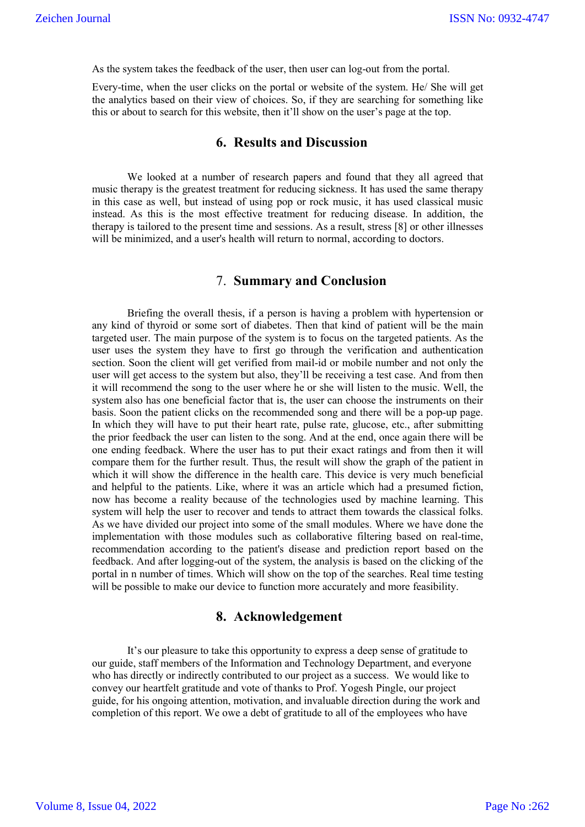As the system takes the feedback of the user, then user can log-out from the portal.

Every-time, when the user clicks on the portal or website of the system. He/ She will get the analytics based on their view of choices. So, if they are searching for something like this or about to search for this website, then it'll show on the user's page at the top.

## **6. Results and Discussion**

We looked at a number of research papers and found that they all agreed that music therapy is the greatest treatment for reducing sickness. It has used the same therapy in this case as well, but instead of using pop or rock music, it has used classical music instead. As this is the most effective treatment for reducing disease. In addition, the therapy is tailored to the present time and sessions. As a result, stress [8] or other illnesses will be minimized, and a user's health will return to normal, according to doctors.

### 7. **Summary and Conclusion**

Briefing the overall thesis, if a person is having a problem with hypertension or any kind of thyroid or some sort of diabetes. Then that kind of patient will be the main targeted user. The main purpose of the system is to focus on the targeted patients. As the user uses the system they have to first go through the verification and authentication section. Soon the client will get verified from mail-id or mobile number and not only the user will get access to the system but also, they'll be receiving a test case. And from then it will recommend the song to the user where he or she will listen to the music. Well, the system also has one beneficial factor that is, the user can choose the instruments on their basis. Soon the patient clicks on the recommended song and there will be a pop-up page. In which they will have to put their heart rate, pulse rate, glucose, etc., after submitting the prior feedback the user can listen to the song. And at the end, once again there will be one ending feedback. Where the user has to put their exact ratings and from then it will compare them for the further result. Thus, the result will show the graph of the patient in which it will show the difference in the health care. This device is very much beneficial and helpful to the patients. Like, where it was an article which had a presumed fiction, now has become a reality because of the technologies used by machine learning. This system will help the user to recover and tends to attract them towards the classical folks. As we have divided our project into some of the small modules. Where we have done the implementation with those modules such as collaborative filtering based on real-time, recommendation according to the patient's disease and prediction report based on the feedback. And after logging-out of the system, the analysis is based on the clicking of the portal in n number of times. Which will show on the top of the searches. Real time testing will be possible to make our device to function more accurately and more feasibility.

### **8. Acknowledgement**

It's our pleasure to take this opportunity to express a deep sense of gratitude to our guide, staff members of the Information and Technology Department, and everyone who has directly or indirectly contributed to our project as a success. We would like to convey our heartfelt gratitude and vote of thanks to Prof. Yogesh Pingle, our project guide, for his ongoing attention, motivation, and invaluable direction during the work and completion of this report. We owe a debt of gratitude to all of the employees who have